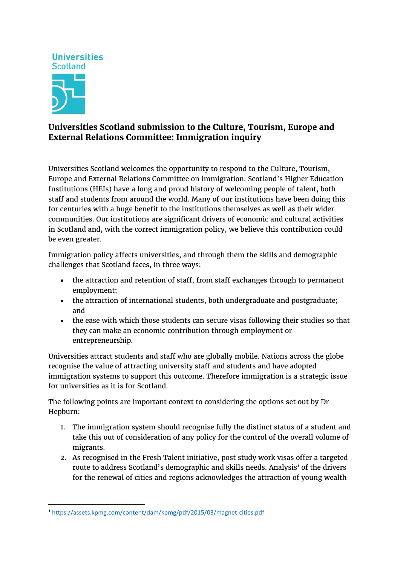

# **Universities Scotland submission to the Culture, Tourism, Europe and External Relations Committee: Immigration inquiry**

Universities Scotland welcomes the opportunity to respond to the Culture, Tourism, Europe and External Relations Committee on immigration. Scotland's Higher Education Institutions (HEIs) have a long and proud history of welcoming people of talent, both staff and students from around the world. Many of our institutions have been doing this for centuries with a huge benefit to the institutions themselves as well as their wider communities. Our institutions are significant drivers of economic and cultural activities in Scotland and, with the correct immigration policy, we believe this contribution could be even greater.

Immigration policy affects universities, and through them the skills and demographic challenges that Scotland faces, in three ways:

- the attraction and retention of staff, from staff exchanges through to permanent employment;
- the attraction of international students, both undergraduate and postgraduate; and
- the ease with which those students can secure visas following their studies so that they can make an economic contribution through employment or entrepreneurship.

Universities attract students and staff who are globally mobile. Nations across the globe recognise the value of attracting university staff and students and have adopted immigration systems to support this outcome. Therefore immigration is a strategic issue for universities as it is for Scotland.

The following points are important context to considering the options set out by Dr Hepburn:

- 1. The immigration system should recognise fully the distinct status of a student and take this out of consideration of any policy for the control of the overall volume of migrants.
- 2. As recognised in the Fresh Talent initiative, post study work visas offer a targeted route to address Scotland's demographic and skills needs. Analysis<sup>[1](#page-0-0)</sup> of the drivers for the renewal of cities and regions acknowledges the attraction of young wealth

<span id="page-0-0"></span> <sup>1</sup> <https://assets.kpmg.com/content/dam/kpmg/pdf/2015/03/magnet-cities.pdf>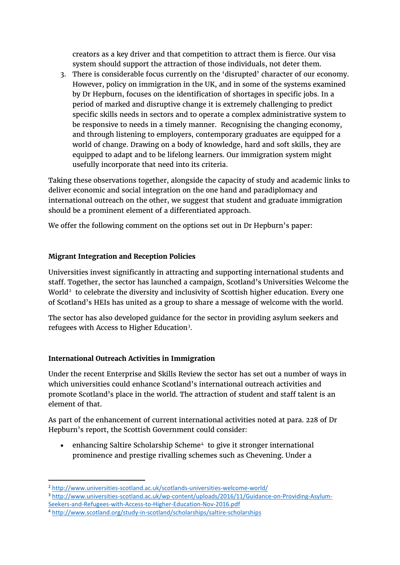creators as a key driver and that competition to attract them is fierce. Our visa system should support the attraction of those individuals, not deter them.

3. There is considerable focus currently on the 'disrupted' character of our economy. However, policy on immigration in the UK, and in some of the systems examined by Dr Hepburn, focuses on the identification of shortages in specific jobs. In a period of marked and disruptive change it is extremely challenging to predict specific skills needs in sectors and to operate a complex administrative system to be responsive to needs in a timely manner. Recognising the changing economy, and through listening to employers, contemporary graduates are equipped for a world of change. Drawing on a body of knowledge, hard and soft skills, they are equipped to adapt and to be lifelong learners. Our immigration system might usefully incorporate that need into its criteria.

Taking these observations together, alongside the capacity of study and academic links to deliver economic and social integration on the one hand and paradiplomacy and international outreach on the other, we suggest that student and graduate immigration should be a prominent element of a differentiated approach.

We offer the following comment on the options set out in Dr Hepburn's paper:

## **Migrant Integration and Reception Policies**

Universities invest significantly in attracting and supporting international students and staff. Together, the sector has launched a campaign, Scotland's Universities Welcome the World<sup>[2](#page-1-0)</sup> to celebrate the diversity and inclusivity of Scottish higher education. Every one of Scotland's HEIs has united as a group to share a message of welcome with the world.

The sector has also developed guidance for the sector in providing asylum seekers and refugees with Access to Higher Education<sup>[3](#page-1-1)</sup>.

## **International Outreach Activities in Immigration**

Under the recent Enterprise and Skills Review the sector has set out a number of ways in which universities could enhance Scotland's international outreach activities and promote Scotland's place in the world. The attraction of student and staff talent is an element of that.

As part of the enhancement of current international activities noted at para. 228 of Dr Hepburn's report, the Scottish Government could consider:

• enhancing Saltire Scholarship Scheme<sup>[4](#page-1-2)</sup> to give it stronger international prominence and prestige rivalling schemes such as Chevening. Under a

<span id="page-1-0"></span> <sup>2</sup> <http://www.universities-scotland.ac.uk/scotlands-universities-welcome-world/>

<span id="page-1-1"></span><sup>3</sup> [http://www.universities-scotland.ac.uk/wp-content/uploads/2016/11/Guidance-on-Providing-Asylum-](http://www.universities-scotland.ac.uk/wp-content/uploads/2016/11/Guidance-on-Providing-Asylum-Seekers-and-Refugees-with-Access-to-Higher-Education-Nov-2016.pdf)[Seekers-and-Refugees-with-Access-to-Higher-Education-Nov-2016.pdf](http://www.universities-scotland.ac.uk/wp-content/uploads/2016/11/Guidance-on-Providing-Asylum-Seekers-and-Refugees-with-Access-to-Higher-Education-Nov-2016.pdf)

<span id="page-1-2"></span><sup>4</sup> <http://www.scotland.org/study-in-scotland/scholarships/saltire-scholarships>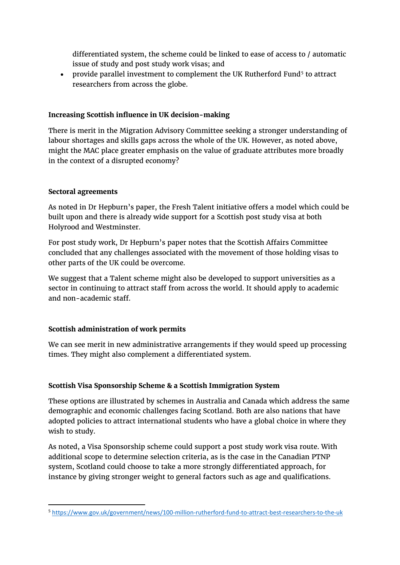differentiated system, the scheme could be linked to ease of access to / automatic issue of study and post study work visas; and

• provide parallel investment to complement the UK Rutherford Fund<sup>[5](#page-2-0)</sup> to attract researchers from across the globe.

#### **Increasing Scottish influence in UK decision-making**

There is merit in the Migration Advisory Committee seeking a stronger understanding of labour shortages and skills gaps across the whole of the UK. However, as noted above, might the MAC place greater emphasis on the value of graduate attributes more broadly in the context of a disrupted economy?

#### **Sectoral agreements**

As noted in Dr Hepburn's paper, the Fresh Talent initiative offers a model which could be built upon and there is already wide support for a Scottish post study visa at both Holyrood and Westminster.

For post study work, Dr Hepburn's paper notes that the Scottish Affairs Committee concluded that any challenges associated with the movement of those holding visas to other parts of the UK could be overcome.

We suggest that a Talent scheme might also be developed to support universities as a sector in continuing to attract staff from across the world. It should apply to academic and non-academic staff.

## **Scottish administration of work permits**

We can see merit in new administrative arrangements if they would speed up processing times. They might also complement a differentiated system.

## **Scottish Visa Sponsorship Scheme & a Scottish Immigration System**

These options are illustrated by schemes in Australia and Canada which address the same demographic and economic challenges facing Scotland. Both are also nations that have adopted policies to attract international students who have a global choice in where they wish to study.

As noted, a Visa Sponsorship scheme could support a post study work visa route. With additional scope to determine selection criteria, as is the case in the Canadian PTNP system, Scotland could choose to take a more strongly differentiated approach, for instance by giving stronger weight to general factors such as age and qualifications.

<span id="page-2-0"></span> <sup>5</sup> <https://www.gov.uk/government/news/100-million-rutherford-fund-to-attract-best-researchers-to-the-uk>